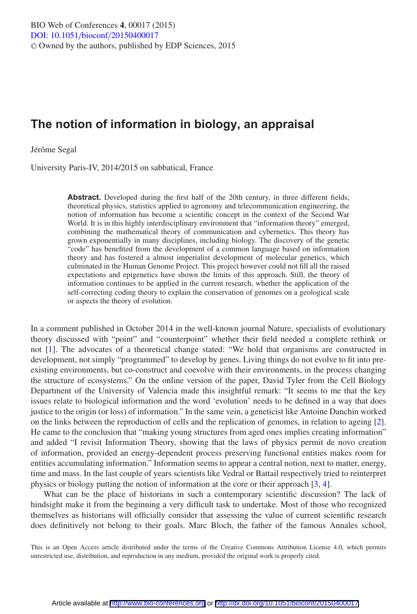# **The notion of information in biology, an appraisal**

Jérôme Segal

University Paris-IV, 2014/2015 on sabbatical, France

**Abstract.** Developed during the first half of the 20th century, in three different fields, theoretical physics, statistics applied to agronomy and telecommunication engineering, the notion of information has become a scientific concept in the context of the Second War World. It is in this highly interdisciplinary environment that "information theory" emerged, combining the mathematical theory of communication and cybernetics. This theory has grown exponentially in many disciplines, including biology. The discovery of the genetic "code" has benefited from the development of a common language based on information theory and has fostered a almost imperialist development of molecular genetics, which culminated in the Human Genome Project. This project however could not fill all the raised expectations and epigenetics have shown the limits of this approach. Still, the theory of information continues to be applied in the current research, whether the application of the self-correcting coding theory to explain the conservation of genomes on a geological scale or aspects the theory of evolution.

In a comment published in October 2014 in the well-known journal Nature, specialists of evolutionary theory discussed with "point" and "counterpoint" whether their field needed a complete rethink or not [\[1\]](#page-4-0). The advocates of a theoretical change stated: "We hold that organisms are constructed in development, not simply "programmed" to develop by genes. Living things do not evolve to fit into preexisting environments, but co-construct and coevolve with their environments, in the process changing the structure of ecosystems." On the online version of the paper, David Tyler from the Cell Biology Department of the University of Valencia made this insightful remark: "It seems to me that the key issues relate to biological information and the word 'evolution' needs to be defined in a way that does justice to the origin (or loss) of information." In the same vein, a geneticist like Antoine Danchin worked on the links between the reproduction of cells and the replication of genomes, in relation to ageing [\[2\]](#page-4-1). He came to the conclusion that "making young structures from aged ones implies creating information" and added "I revisit Information Theory, showing that the laws of physics permit de novo creation of information, provided an energy-dependent process preserving functional entities makes room for entities accumulating information." Information seems to appear a central notion, next to matter, energy, time and mass. In the last couple of years scientists like Vedral or Battail respectively tried to reinterpret physics or biology putting the notion of information at the core or their approach [\[3](#page-4-2), [4](#page-4-3)].

What can be the place of historians in such a contemporary scientific discussion? The lack of hindsight make it from the beginning a very difficult task to undertake. Most of those who recognized themselves as historians will officially consider that assessing the value of current scientific research does definitively not belong to their goals. Marc Bloch, the father of the famous Annales school,

This is an Open Access article distributed under the terms of the Creative Commons Attribution License 4.0, which permits unrestricted use, distribution, and reproduction in any medium, provided the original work is properly cited.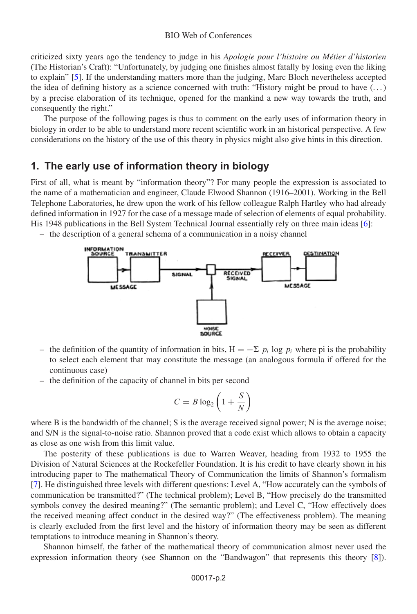#### BIO Web of Conferences

criticized sixty years ago the tendency to judge in his *Apologie pour l'histoire ou Métier d'historien* (The Historian's Craft): "Unfortunately, by judging one finishes almost fatally by losing even the liking to explain" [\[5\]](#page-4-4). If the understanding matters more than the judging, Marc Bloch nevertheless accepted the idea of defining history as a science concerned with truth: "History might be proud to have (...) by a precise elaboration of its technique, opened for the mankind a new way towards the truth, and consequently the right."

The purpose of the following pages is thus to comment on the early uses of information theory in biology in order to be able to understand more recent scientific work in an historical perspective. A few considerations on the history of the use of this theory in physics might also give hints in this direction.

## **1. The early use of information theory in biology**

First of all, what is meant by "information theory"? For many people the expression is associated to the name of a mathematician and engineer, Claude Elwood Shannon (1916–2001). Working in the Bell Telephone Laboratories, he drew upon the work of his fellow colleague Ralph Hartley who had already defined information in 1927 for the case of a message made of selection of elements of equal probability. His 1948 publications in the Bell System Technical Journal essentially rely on three main ideas [\[6](#page-4-5)]:

– the description of a general schema of a communication in a noisy channel



- the definition of the quantity of information in bits,  $H = -\sum p_i \log p_i$  where pi is the probability to select each element that may constitute the message (an analogous formula if offered for the continuous case)
- the definition of the capacity of channel in bits per second

$$
C = B \log_2 \left( 1 + \frac{S}{N} \right)
$$

where B is the bandwidth of the channel; S is the average received signal power; N is the average noise; and S/N is the signal-to-noise ratio. Shannon proved that a code exist which allows to obtain a capacity as close as one wish from this limit value.

The posterity of these publications is due to Warren Weaver, heading from 1932 to 1955 the Division of Natural Sciences at the Rockefeller Foundation. It is his credit to have clearly shown in his introducing paper to The mathematical Theory of Communication the limits of Shannon's formalism [\[7\]](#page-4-6). He distinguished three levels with different questions: Level A, "How accurately can the symbols of communication be transmitted?" (The technical problem); Level B, "How precisely do the transmitted symbols convey the desired meaning?" (The semantic problem); and Level C, "How effectively does the received meaning affect conduct in the desired way?" (The effectiveness problem). The meaning is clearly excluded from the first level and the history of information theory may be seen as different temptations to introduce meaning in Shannon's theory.

Shannon himself, the father of the mathematical theory of communication almost never used the expression information theory (see Shannon on the "Bandwagon" that represents this theory [\[8](#page-4-7)]).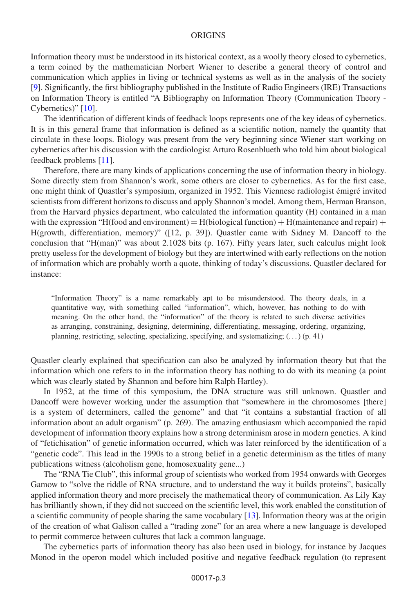#### **ORIGINS**

Information theory must be understood in its historical context, as a woolly theory closed to cybernetics, a term coined by the mathematician Norbert Wiener to describe a general theory of control and communication which applies in living or technical systems as well as in the analysis of the society [\[9\]](#page-4-8). Significantly, the first bibliography published in the Institute of Radio Engineers (IRE) Transactions on Information Theory is entitled "A Bibliography on Information Theory (Communication Theory - Cybernetics)" [\[10\]](#page-4-9).

The identification of different kinds of feedback loops represents one of the key ideas of cybernetics. It is in this general frame that information is defined as a scientific notion, namely the quantity that circulate in these loops. Biology was present from the very beginning since Wiener start working on cybernetics after his discussion with the cardiologist Arturo Rosenblueth who told him about biological feedback problems [\[11\]](#page-4-10).

Therefore, there are many kinds of applications concerning the use of information theory in biology. Some directly stem from Shannon's work, some others are closer to cybernetics. As for the first case, one might think of Quastler's symposium, organized in 1952. This Viennese radiologist émigré invited scientists from different horizons to discuss and apply Shannon's model. Among them, Herman Branson, from the Harvard physics department, who calculated the information quantity (H) contained in a man with the expression "H(food and environment) = H(biological function) + H(maintenance and repair) + H(growth, differentiation, memory)" ([12, p. 39]). Quastler came with Sidney M. Dancoff to the conclusion that "H(man)" was about 2.1028 bits (p. 167). Fifty years later, such calculus might look pretty useless for the development of biology but they are intertwined with early reflections on the notion of information which are probably worth a quote, thinking of today's discussions. Quastler declared for instance:

"Information Theory" is a name remarkably apt to be misunderstood. The theory deals, in a quantitative way, with something called "information", which, however, has nothing to do with meaning. On the other hand, the "information" of the theory is related to such diverse activities as arranging, constraining, designing, determining, differentiating, messaging, ordering, organizing, planning, restricting, selecting, specializing, specifying, and systematizing; (. . . ) (p. 41)

Quastler clearly explained that specification can also be analyzed by information theory but that the information which one refers to in the information theory has nothing to do with its meaning (a point which was clearly stated by Shannon and before him Ralph Hartley).

In 1952, at the time of this symposium, the DNA structure was still unknown. Quastler and Dancoff were however working under the assumption that "somewhere in the chromosomes [there] is a system of determiners, called the genome" and that "it contains a substantial fraction of all information about an adult organism" (p. 269). The amazing enthusiasm which accompanied the rapid development of information theory explains how a strong determinism arose in modern genetics. A kind of "fetichisation" of genetic information occurred, which was later reinforced by the identification of a "genetic code". This lead in the 1990s to a strong belief in a genetic determinism as the titles of many publications witness (alcoholism gene, homosexuality gene...)

The "RNA Tie Club", this informal group of scientists who worked from 1954 onwards with Georges Gamow to "solve the riddle of RNA structure, and to understand the way it builds proteins", basically applied information theory and more precisely the mathematical theory of communication. As Lily Kay has brilliantly shown, if they did not succeed on the scientific level, this work enabled the constitution of a scientific community of people sharing the same vocabulary [\[13\]](#page-4-11). Information theory was at the origin of the creation of what Galison called a "trading zone" for an area where a new language is developed to permit commerce between cultures that lack a common language.

The cybernetics parts of information theory has also been used in biology, for instance by Jacques Monod in the operon model which included positive and negative feedback regulation (to represent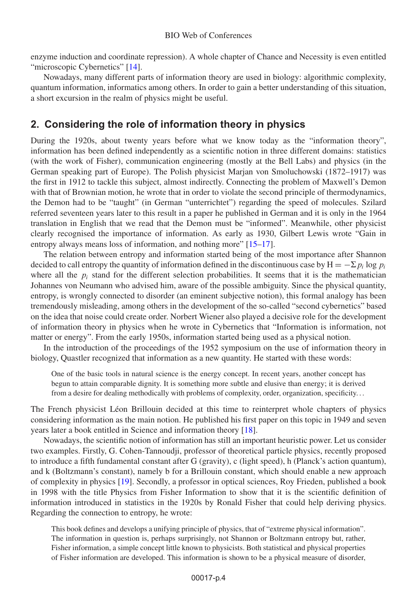enzyme induction and coordinate repression). A whole chapter of Chance and Necessity is even entitled "microscopic Cybernetics" [\[14\]](#page-4-12).

Nowadays, many different parts of information theory are used in biology: algorithmic complexity, quantum information, informatics among others. In order to gain a better understanding of this situation, a short excursion in the realm of physics might be useful.

## **2. Considering the role of information theory in physics**

During the 1920s, about twenty years before what we know today as the "information theory", information has been defined independently as a scientific notion in three different domains: statistics (with the work of Fisher), communication engineering (mostly at the Bell Labs) and physics (in the German speaking part of Europe). The Polish physicist Marjan von Smoluchowski (1872–1917) was the first in 1912 to tackle this subject, almost indirectly. Connecting the problem of Maxwell's Demon with that of Brownian motion, he wrote that in order to violate the second principle of thermodynamics, the Demon had to be "taught" (in German "unterrichtet") regarding the speed of molecules. Szilard referred seventeen years later to this result in a paper he published in German and it is only in the 1964 translation in English that we read that the Demon must be "informed". Meanwhile, other physicist clearly recognised the importance of information. As early as 1930, Gilbert Lewis wrote "Gain in entropy always means loss of information, and nothing more" [\[15](#page-5-0)[–17](#page-5-1)].

The relation between entropy and information started being of the most importance after Shannon decided to call entropy the quantity of information defined in the discontinuous case by H =  $-\Sigma p_i \log p_i$ where all the  $p_i$  stand for the different selection probabilities. It seems that it is the mathematician Johannes von Neumann who advised him, aware of the possible ambiguity. Since the physical quantity, entropy, is wrongly connected to disorder (an eminent subjective notion), this formal analogy has been tremendously misleading, among others in the development of the so-called "second cybernetics" based on the idea that noise could create order. Norbert Wiener also played a decisive role for the development of information theory in physics when he wrote in Cybernetics that "Information is information, not matter or energy". From the early 1950s, information started being used as a physical notion.

In the introduction of the proceedings of the 1952 symposium on the use of information theory in biology, Quastler recognized that information as a new quantity. He started with these words:

One of the basic tools in natural science is the energy concept. In recent years, another concept has begun to attain comparable dignity. It is something more subtle and elusive than energy; it is derived from a desire for dealing methodically with problems of complexity, order, organization, specificity. . .

The French physicist Léon Brillouin decided at this time to reinterpret whole chapters of physics considering information as the main notion. He published his first paper on this topic in 1949 and seven years later a book entitled in Science and information theory [\[18](#page-5-2)].

Nowadays, the scientific notion of information has still an important heuristic power. Let us consider two examples. Firstly, G. Cohen-Tannoudji, professor of theoretical particle physics, recently proposed to introduce a fifth fundamental constant after G (gravity), c (light speed), h (Planck's action quantum), and k (Boltzmann's constant), namely b for a Brillouin constant, which should enable a new approach of complexity in physics [\[19](#page-5-3)]. Secondly, a professor in optical sciences, Roy Frieden, published a book in 1998 with the title Physics from Fisher Information to show that it is the scientific definition of information introduced in statistics in the 1920s by Ronald Fisher that could help deriving physics. Regarding the connection to entropy, he wrote:

This book defines and develops a unifying principle of physics, that of "extreme physical information". The information in question is, perhaps surprisingly, not Shannon or Boltzmann entropy but, rather, Fisher information, a simple concept little known to physicists. Both statistical and physical properties of Fisher information are developed. This information is shown to be a physical measure of disorder,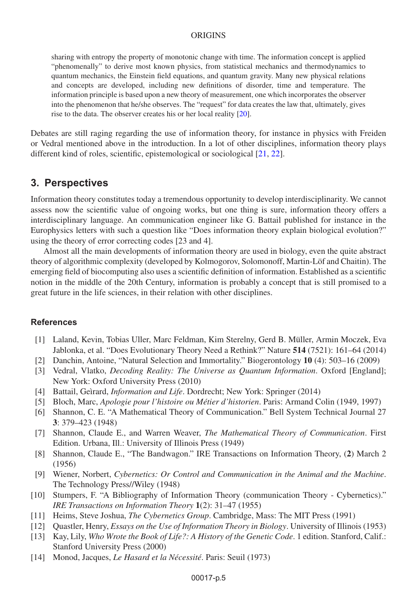#### **ORIGINS**

sharing with entropy the property of monotonic change with time. The information concept is applied "phenomenally" to derive most known physics, from statistical mechanics and thermodynamics to quantum mechanics, the Einstein field equations, and quantum gravity. Many new physical relations and concepts are developed, including new definitions of disorder, time and temperature. The information principle is based upon a new theory of measurement, one which incorporates the observer into the phenomenon that he/she observes. The "request" for data creates the law that, ultimately, gives rise to the data. The observer creates his or her local reality [\[20\]](#page-5-4).

Debates are still raging regarding the use of information theory, for instance in physics with Freiden or Vedral mentioned above in the introduction. In a lot of other disciplines, information theory plays different kind of roles, scientific, epistemological or sociological [\[21,](#page-5-5) [22\]](#page-5-6).

### **3. Perspectives**

Information theory constitutes today a tremendous opportunity to develop interdisciplinarity. We cannot assess now the scientific value of ongoing works, but one thing is sure, information theory offers a interdisciplinary language. An communication engineer like G. Battail published for instance in the Europhysics letters with such a question like "Does information theory explain biological evolution?" using the theory of error correcting codes [23 and 4].

Almost all the main developments of information theory are used in biology, even the quite abstract theory of algorithmic complexity (developed by Kolmogorov, Solomonoff, Martin-Löf and Chaitin). The emerging field of biocomputing also uses a scientific definition of information. Established as a scientific notion in the middle of the 20th Century, information is probably a concept that is still promised to a great future in the life sciences, in their relation with other disciplines.

### <span id="page-4-0"></span>**References**

- [1] Laland, Kevin, Tobias Uller, Marc Feldman, Kim Sterelny, Gerd B. Müller, Armin Moczek, Eva Jablonka, et al. "Does Evolutionary Theory Need a Rethink?" Nature **514** (7521): 161–64 (2014)
- <span id="page-4-1"></span>[2] Danchin, Antoine, "Natural Selection and Immortality." Biogerontology **10** (4): 503–16 (2009)
- <span id="page-4-2"></span>[3] Vedral, Vlatko, *Decoding Reality: The Universe as Quantum Information*. Oxford [England]; New York: Oxford University Press (2010)
- <span id="page-4-3"></span>[4] Battail, Geìrard, *Information and Life*. Dordrecht; New York: Springer (2014)
- <span id="page-4-4"></span>[5] Bloch, Marc, *Apologie pour l'histoire ou Métier d'historien*. Paris: Armand Colin (1949, 1997)
- <span id="page-4-5"></span>[6] Shannon, C. E. "A Mathematical Theory of Communication." Bell System Technical Journal 27 **3**: 379–423 (1948)
- <span id="page-4-6"></span>[7] Shannon, Claude E., and Warren Weaver, *The Mathematical Theory of Communication*. First Edition. Urbana, Ill.: University of Illinois Press (1949)
- <span id="page-4-7"></span>[8] Shannon, Claude E., "The Bandwagon." IRE Transactions on Information Theory, (**2**) March 2 (1956)
- <span id="page-4-8"></span>[9] Wiener, Norbert, *Cybernetics: Or Control and Communication in the Animal and the Machine*. The Technology Press//Wiley (1948)
- <span id="page-4-9"></span>[10] Stumpers, F. "A Bibliography of Information Theory (communication Theory - Cybernetics)." *IRE Transactions on Information Theory* **1**(2): 31–47 (1955)
- <span id="page-4-10"></span>[11] Heims, Steve Joshua, *The Cybernetics Group*. Cambridge, Mass: The MIT Press (1991)
- [12] Quastler, Henry, *Essays on the Use of Information Theory in Biology*. University of Illinois (1953)
- <span id="page-4-11"></span>[13] Kay, Lily, *Who Wrote the Book of Life?: A History of the Genetic Code*. 1 edition. Stanford, Calif.: Stanford University Press (2000)
- <span id="page-4-12"></span>[14] Monod, Jacques, *Le Hasard et la Nécessité*. Paris: Seuil (1973)